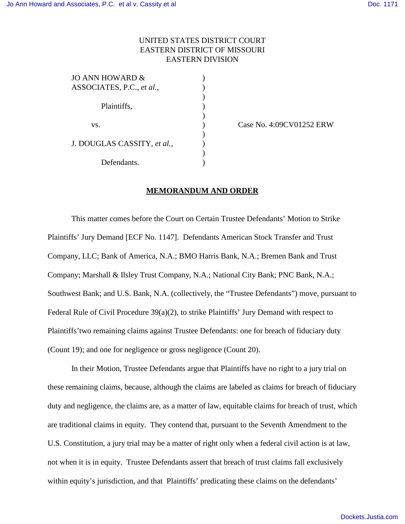## UNITED STATES DISTRICT COURT EASTERN DISTRICT OF MISSOURI EASTERN DIVISION

| JO ANN HOWARD &             |  |
|-----------------------------|--|
| ASSOCIATES, P.C., et al.,   |  |
|                             |  |
| Plaintiffs,                 |  |
|                             |  |
| VS.                         |  |
|                             |  |
| J. DOUGLAS CASSITY, et al., |  |
|                             |  |
| Defendants.                 |  |
|                             |  |

Case No. 4:09CV01252 ERW

## **MEMORANDUM AND ORDER**

This matter comes before the Court on Certain Trustee Defendants' Motion to Strike Plaintiffs' Jury Demand [ECF No. 1147]. Defendants American Stock Transfer and Trust Company, LLC; Bank of America, N.A.; BMO Harris Bank, N.A.; Bremen Bank and Trust Company; Marshall & Ilsley Trust Company, N.A.; National City Bank; PNC Bank, N.A.; Southwest Bank; and U.S. Bank, N.A. (collectively, the "Trustee Defendants") move, pursuant to Federal Rule of Civil Procedure 39(a)(2), to strike Plaintiffs' Jury Demand with respect to Plaintiffs'two remaining claims against Trustee Defendants: one for breach of fiduciary duty (Count 19); and one for negligence or gross negligence (Count 20).

In their Motion, Trustee Defendants argue that Plaintiffs have no right to a jury trial on these remaining claims, because, although the claims are labeled as claims for breach of fiduciary duty and negligence, the claims are, as a matter of law, equitable claims for breach of trust, which are traditional claims in equity. They contend that, pursuant to the Seventh Amendment to the U.S. Constitution, a jury trial may be a matter of right only when a federal civil action is at law, not when it is in equity. Trustee Defendants assert that breach of trust claims fall exclusively within equity's jurisdiction, and that Plaintiffs' predicating these claims on the defendants'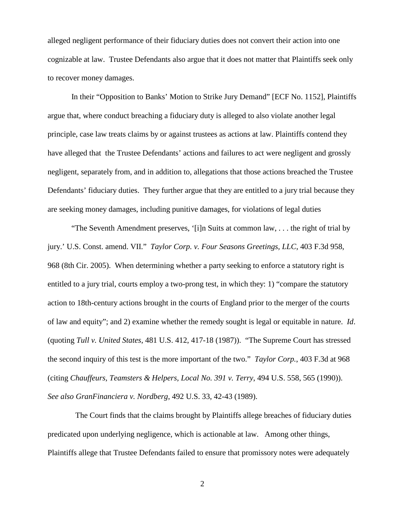alleged negligent performance of their fiduciary duties does not convert their action into one cognizable at law. Trustee Defendants also argue that it does not matter that Plaintiffs seek only to recover money damages.

In their "Opposition to Banks' Motion to Strike Jury Demand" [ECF No. 1152], Plaintiffs argue that, where conduct breaching a fiduciary duty is alleged to also violate another legal principle, case law treats claims by or against trustees as actions at law. Plaintiffs contend they have alleged that the Trustee Defendants' actions and failures to act were negligent and grossly negligent, separately from, and in addition to, allegations that those actions breached the Trustee Defendants' fiduciary duties. They further argue that they are entitled to a jury trial because they are seeking money damages, including punitive damages, for violations of legal duties

"The Seventh Amendment preserves, '[i]n Suits at common law, . . . the right of trial by jury.' U.S. Const. amend. VII." *Taylor Corp. v. Four Seasons Greetings, LLC*, 403 F.3d 958, 968 (8th Cir. 2005). When determining whether a party seeking to enforce a statutory right is entitled to a jury trial, courts employ a two-prong test, in which they: 1) "compare the statutory action to 18th-century actions brought in the courts of England prior to the merger of the courts of law and equity"; and 2) examine whether the remedy sought is legal or equitable in nature. *Id*. (quoting *Tull v. United States*, 481 U.S. 412, 417-18 (1987)). "The Supreme Court has stressed the second inquiry of this test is the more important of the two." *Taylor Corp.*, 403 F.3d at 968 (citing *Chauffeurs, Teamsters & Helpers, Local No. 391 v. Terry*, 494 U.S. 558, 565 (1990)). *See also GranFinanciera v. Nordberg*, 492 U.S. 33, 42-43 (1989).

 The Court finds that the claims brought by Plaintiffs allege breaches of fiduciary duties predicated upon underlying negligence, which is actionable at law. Among other things, Plaintiffs allege that Trustee Defendants failed to ensure that promissory notes were adequately